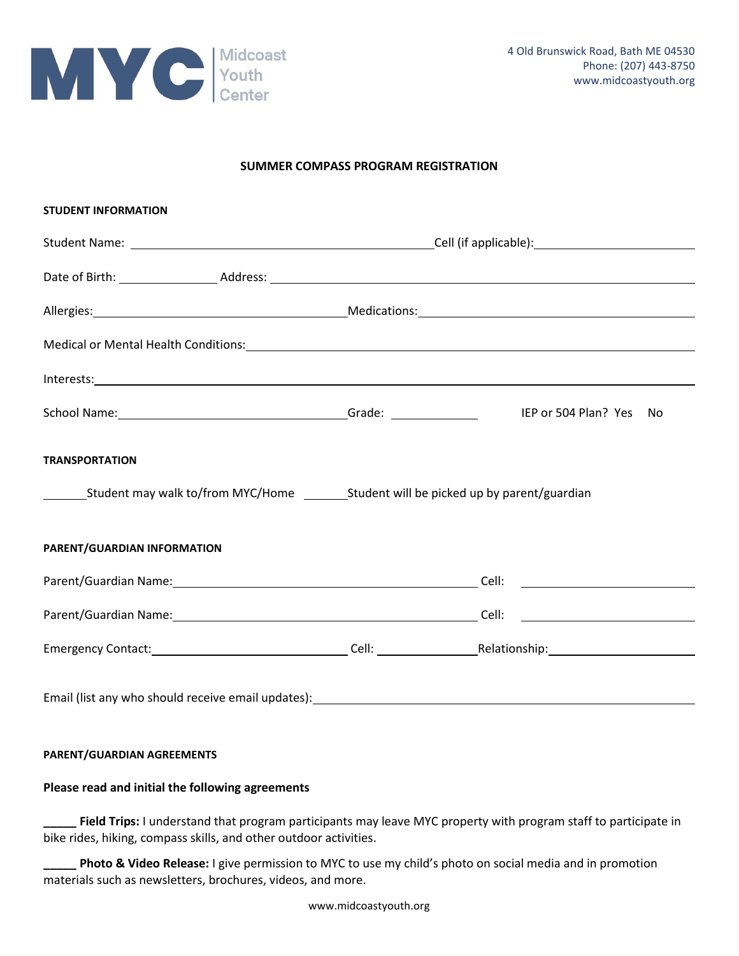

### **SUMMER COMPASS PROGRAM REGISTRATION**

| <b>STUDENT INFORMATION</b>                                                                                                                                                                                                     |  |  |
|--------------------------------------------------------------------------------------------------------------------------------------------------------------------------------------------------------------------------------|--|--|
|                                                                                                                                                                                                                                |  |  |
|                                                                                                                                                                                                                                |  |  |
| Allergies: 1990 Medications: 2000 Medications: 2000 Medications: 2000 Medications: 2000 Medications: 2000 Medications: 2000 Medications: 2000 Medications: 2000 Medications: 2000 Medications: 2000 Medications: 2000 Medicati |  |  |
|                                                                                                                                                                                                                                |  |  |
|                                                                                                                                                                                                                                |  |  |
| School Name: 1990 Mame: 1990 Mame: 1990 Mame: 1990 Mame: 1990 Mame: 1990 Mame: 1990 Mame: 1990 Mame: 1990 Mame                                                                                                                 |  |  |
| <b>TRANSPORTATION</b>                                                                                                                                                                                                          |  |  |
|                                                                                                                                                                                                                                |  |  |
| PARENT/GUARDIAN INFORMATION                                                                                                                                                                                                    |  |  |
|                                                                                                                                                                                                                                |  |  |
|                                                                                                                                                                                                                                |  |  |
|                                                                                                                                                                                                                                |  |  |
|                                                                                                                                                                                                                                |  |  |

#### **PARENT/GUARDIAN AGREEMENTS**

#### **Please read and initial the following agreements**

Field Trips: I understand that program participants may leave MYC property with program staff to participate in bike rides, hiking, compass skills, and other outdoor activities.

**\_\_\_\_\_ Photo & Video Release:** I give permission to MYC to use my child's photo on social media and in promotion materials such as newsletters, brochures, videos, and more.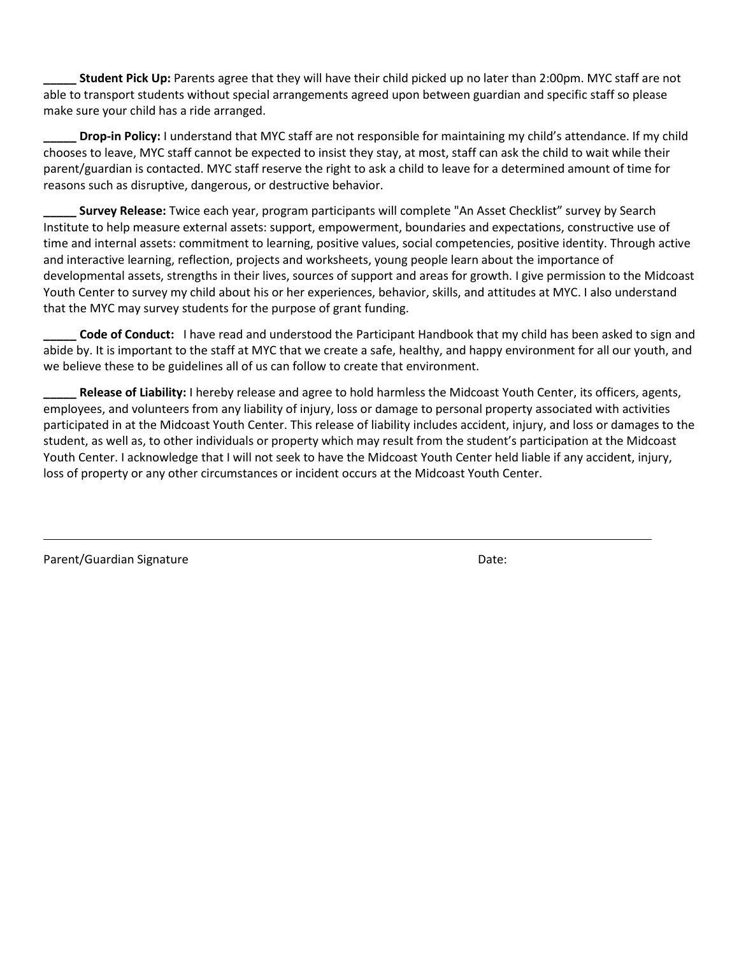**\_\_\_\_\_ Student Pick Up:** Parents agree that they will have their child picked up no later than 2:00pm. MYC staff are not able to transport students without special arrangements agreed upon between guardian and specific staff so please make sure your child has a ride arranged.

**\_\_\_\_\_ Drop-in Policy:** I understand that MYC staff are not responsible for maintaining my child's attendance. If my child chooses to leave, MYC staff cannot be expected to insist they stay, at most, staff can ask the child to wait while their parent/guardian is contacted. MYC staff reserve the right to ask a child to leave for a determined amount of time for reasons such as disruptive, dangerous, or destructive behavior.

**\_\_\_\_\_ Survey Release:** Twice each year, program participants will complete "An Asset Checklist" survey by Search Institute to help measure external assets: support, empowerment, boundaries and expectations, constructive use of time and internal assets: commitment to learning, positive values, social competencies, positive identity. Through active and interactive learning, reflection, projects and worksheets, young people learn about the importance of developmental assets, strengths in their lives, sources of support and areas for growth. I give permission to the Midcoast Youth Center to survey my child about his or her experiences, behavior, skills, and attitudes at MYC. I also understand that the MYC may survey students for the purpose of grant funding.

**\_\_\_\_\_ Code of Conduct:** I have read and understood the Participant Handbook that my child has been asked to sign and abide by. It is important to the staff at MYC that we create a safe, healthy, and happy environment for all our youth, and we believe these to be guidelines all of us can follow to create that environment.

**\_\_\_\_\_ Release of Liability:** I hereby release and agree to hold harmless the Midcoast Youth Center, its officers, agents, employees, and volunteers from any liability of injury, loss or damage to personal property associated with activities participated in at the Midcoast Youth Center. This release of liability includes accident, injury, and loss or damages to the student, as well as, to other individuals or property which may result from the student's participation at the Midcoast Youth Center. I acknowledge that I will not seek to have the Midcoast Youth Center held liable if any accident, injury, loss of property or any other circumstances or incident occurs at the Midcoast Youth Center.

Parent/Guardian Signature **Date:** Date: